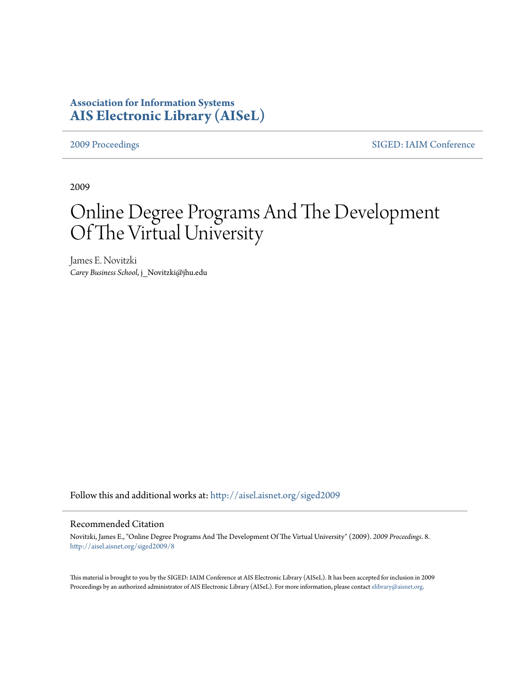## **Association for Information Systems [AIS Electronic Library \(AISeL\)](http://aisel.aisnet.org?utm_source=aisel.aisnet.org%2Fsiged2009%2F8&utm_medium=PDF&utm_campaign=PDFCoverPages)**

[2009 Proceedings](http://aisel.aisnet.org/siged2009?utm_source=aisel.aisnet.org%2Fsiged2009%2F8&utm_medium=PDF&utm_campaign=PDFCoverPages) [SIGED: IAIM Conference](http://aisel.aisnet.org/siged?utm_source=aisel.aisnet.org%2Fsiged2009%2F8&utm_medium=PDF&utm_campaign=PDFCoverPages)

2009

# Online Degree Programs And The Development Of The Virtual University

James E. Novitzki *Carey Business School*, j\_Novitzki@jhu.edu

Follow this and additional works at: [http://aisel.aisnet.org/siged2009](http://aisel.aisnet.org/siged2009?utm_source=aisel.aisnet.org%2Fsiged2009%2F8&utm_medium=PDF&utm_campaign=PDFCoverPages)

#### Recommended Citation

Novitzki, James E., "Online Degree Programs And The Development Of The Virtual University" (2009). *2009 Proceedings*. 8. [http://aisel.aisnet.org/siged2009/8](http://aisel.aisnet.org/siged2009/8?utm_source=aisel.aisnet.org%2Fsiged2009%2F8&utm_medium=PDF&utm_campaign=PDFCoverPages)

This material is brought to you by the SIGED: IAIM Conference at AIS Electronic Library (AISeL). It has been accepted for inclusion in 2009 Proceedings by an authorized administrator of AIS Electronic Library (AISeL). For more information, please contact [elibrary@aisnet.org](mailto:elibrary@aisnet.org%3E).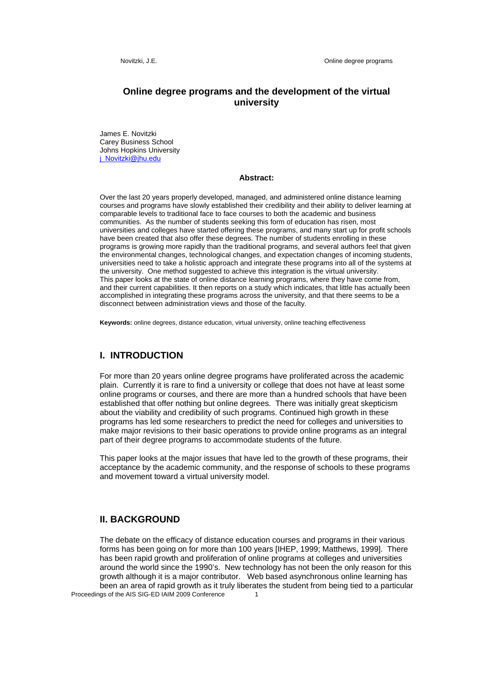#### **Online degree programs and the development of the virtual university**

James E. Novitzki Carey Business School Johns Hopkins University j\_Novitzki@jhu.edu

#### **Abstract:**

Over the last 20 years properly developed, managed, and administered online distance learning courses and programs have slowly established their credibility and their ability to deliver learning at comparable levels to traditional face to face courses to both the academic and business communities. As the number of students seeking this form of education has risen, most universities and colleges have started offering these programs, and many start up for profit schools have been created that also offer these degrees. The number of students enrolling in these programs is growing more rapidly than the traditional programs, and several authors feel that given the environmental changes, technological changes, and expectation changes of incoming students, universities need to take a holistic approach and integrate these programs into all of the systems at the university. One method suggested to achieve this integration is the virtual university. This paper looks at the state of online distance learning programs, where they have come from, and their current capabilities. It then reports on a study which indicates, that little has actually been accomplished in integrating these programs across the university, and that there seems to be a disconnect between administration views and those of the faculty.

**Keywords:** online degrees, distance education, virtual university, online teaching effectiveness

#### **I. INTRODUCTION**

For more than 20 years online degree programs have proliferated across the academic plain. Currently it is rare to find a university or college that does not have at least some online programs or courses, and there are more than a hundred schools that have been established that offer nothing but online degrees. There was initially great skepticism about the viability and credibility of such programs. Continued high growth in these programs has led some researchers to predict the need for colleges and universities to make major revisions to their basic operations to provide online programs as an integral part of their degree programs to accommodate students of the future.

This paper looks at the major issues that have led to the growth of these programs, their acceptance by the academic community, and the response of schools to these programs and movement toward a virtual university model.

#### **II. BACKGROUND**

Proceedings of the AIS SIG-ED IAIM 2009 Conference 1 The debate on the efficacy of distance education courses and programs in their various forms has been going on for more than 100 years [IHEP, 1999; Matthews, 1999]. There has been rapid growth and proliferation of online programs at colleges and universities around the world since the 1990's. New technology has not been the only reason for this growth although it is a major contributor. Web based asynchronous online learning has been an area of rapid growth as it truly liberates the student from being tied to a particular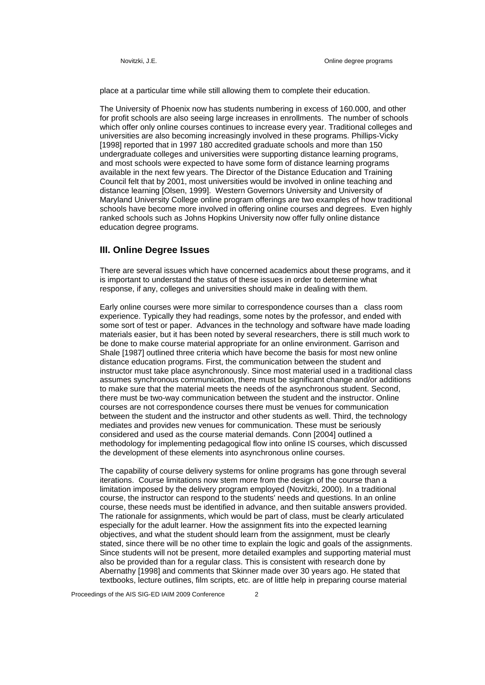place at a particular time while still allowing them to complete their education.

The University of Phoenix now has students numbering in excess of 160.000, and other for profit schools are also seeing large increases in enrollments. The number of schools which offer only online courses continues to increase every year. Traditional colleges and universities are also becoming increasingly involved in these programs. Phillips-Vicky [1998] reported that in 1997 180 accredited graduate schools and more than 150 undergraduate colleges and universities were supporting distance learning programs, and most schools were expected to have some form of distance learning programs available in the next few years. The Director of the Distance Education and Training Council felt that by 2001, most universities would be involved in online teaching and distance learning [Olsen, 1999]. Western Governors University and University of Maryland University College online program offerings are two examples of how traditional schools have become more involved in offering online courses and degrees. Even highly ranked schools such as Johns Hopkins University now offer fully online distance education degree programs.

#### **III. Online Degree Issues**

There are several issues which have concerned academics about these programs, and it is important to understand the status of these issues in order to determine what response, if any, colleges and universities should make in dealing with them.

Early online courses were more similar to correspondence courses than a class room experience. Typically they had readings, some notes by the professor, and ended with some sort of test or paper. Advances in the technology and software have made loading materials easier, but it has been noted by several researchers, there is still much work to be done to make course material appropriate for an online environment. Garrison and Shale [1987] outlined three criteria which have become the basis for most new online distance education programs. First, the communication between the student and instructor must take place asynchronously. Since most material used in a traditional class assumes synchronous communication, there must be significant change and/or additions to make sure that the material meets the needs of the asynchronous student. Second, there must be two-way communication between the student and the instructor. Online courses are not correspondence courses there must be venues for communication between the student and the instructor and other students as well. Third, the technology mediates and provides new venues for communication. These must be seriously considered and used as the course material demands. Conn [2004] outlined a methodology for implementing pedagogical flow into online IS courses, which discussed the development of these elements into asynchronous online courses.

The capability of course delivery systems for online programs has gone through several iterations. Course limitations now stem more from the design of the course than a limitation imposed by the delivery program employed (Novitzki, 2000). In a traditional course, the instructor can respond to the students' needs and questions. In an online course, these needs must be identified in advance, and then suitable answers provided. The rationale for assignments, which would be part of class, must be clearly articulated especially for the adult learner. How the assignment fits into the expected learning objectives, and what the student should learn from the assignment, must be clearly stated, since there will be no other time to explain the logic and goals of the assignments. Since students will not be present, more detailed examples and supporting material must also be provided than for a regular class. This is consistent with research done by Abernathy [1998] and comments that Skinner made over 30 years ago. He stated that textbooks, lecture outlines, film scripts, etc. are of little help in preparing course material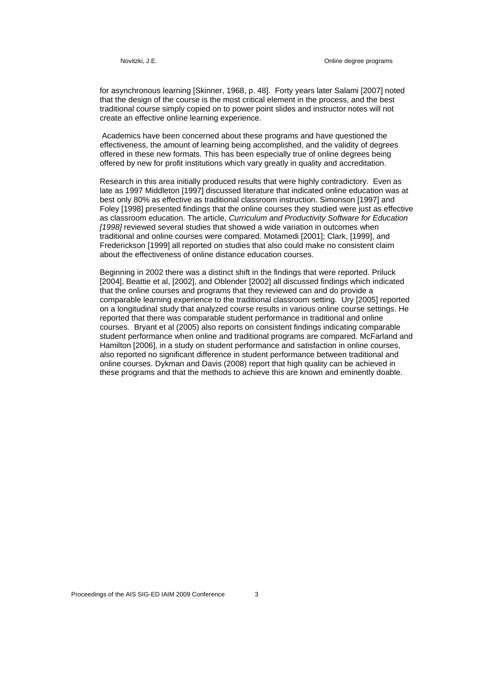for asynchronous learning [Skinner, 1968, p. 48]. Forty years later Salami [2007] noted that the design of the course is the most critical element in the process, and the best traditional course simply copied on to power point slides and instructor notes will not create an effective online learning experience.

 Academics have been concerned about these programs and have questioned the effectiveness, the amount of learning being accomplished, and the validity of degrees offered in these new formats. This has been especially true of online degrees being offered by new for profit institutions which vary greatly in quality and accreditation.

Research in this area initially produced results that were highly contradictory. Even as late as 1997 Middleton [1997] discussed literature that indicated online education was at best only 80% as effective as traditional classroom instruction. Simonson [1997] and Foley [1998] presented findings that the online courses they studied were just as effective as classroom education. The article, *Curriculum and Productivity Software for Education [1998]* reviewed several studies that showed a wide variation in outcomes when traditional and online courses were compared. Motamedi [2001]; Clark, [1999], and Frederickson [1999] all reported on studies that also could make no consistent claim about the effectiveness of online distance education courses.

Beginning in 2002 there was a distinct shift in the findings that were reported. Priluck [2004], Beattie et al, [2002], and Oblender [2002] all discussed findings which indicated that the online courses and programs that they reviewed can and do provide a comparable learning experience to the traditional classroom setting. Ury [2005] reported on a longitudinal study that analyzed course results in various online course settings. He reported that there was comparable student performance in traditional and online courses. Bryant et al (2005) also reports on consistent findings indicating comparable student performance when online and traditional programs are compared. McFarland and Hamilton [2006], in a study on student performance and satisfaction in online courses, also reported no significant difference in student performance between traditional and online courses. Dykman and Davis (2008) report that high quality can be achieved in these programs and that the methods to achieve this are known and eminently doable.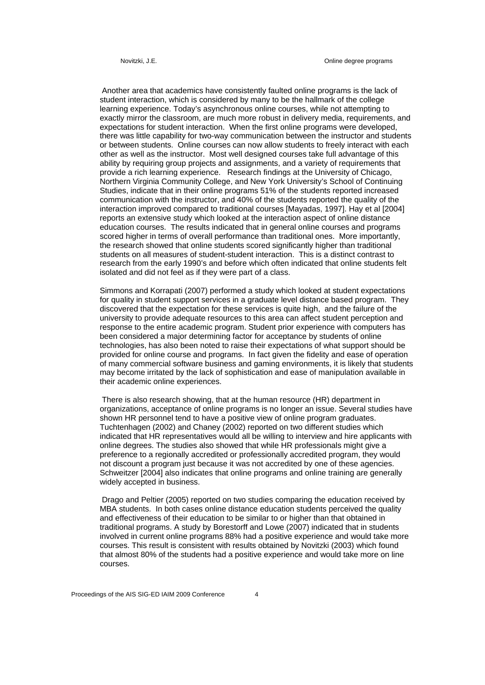Another area that academics have consistently faulted online programs is the lack of student interaction, which is considered by many to be the hallmark of the college learning experience. Today's asynchronous online courses, while not attempting to exactly mirror the classroom, are much more robust in delivery media, requirements, and expectations for student interaction. When the first online programs were developed, there was little capability for two-way communication between the instructor and students or between students. Online courses can now allow students to freely interact with each other as well as the instructor. Most well designed courses take full advantage of this ability by requiring group projects and assignments, and a variety of requirements that provide a rich learning experience. Research findings at the University of Chicago, Northern Virginia Community College, and New York University's School of Continuing Studies, indicate that in their online programs 51% of the students reported increased communication with the instructor, and 40% of the students reported the quality of the interaction improved compared to traditional courses [Mayadas, 1997]. Hay et al [2004] reports an extensive study which looked at the interaction aspect of online distance education courses. The results indicated that in general online courses and programs scored higher in terms of overall performance than traditional ones. More importantly, the research showed that online students scored significantly higher than traditional students on all measures of student-student interaction. This is a distinct contrast to research from the early 1990's and before which often indicated that online students felt isolated and did not feel as if they were part of a class.

Simmons and Korrapati (2007) performed a study which looked at student expectations for quality in student support services in a graduate level distance based program. They discovered that the expectation for these services is quite high, and the failure of the university to provide adequate resources to this area can affect student perception and response to the entire academic program. Student prior experience with computers has been considered a major determining factor for acceptance by students of online technologies, has also been noted to raise their expectations of what support should be provided for online course and programs. In fact given the fidelity and ease of operation of many commercial software business and gaming environments, it is likely that students may become irritated by the lack of sophistication and ease of manipulation available in their academic online experiences.

 There is also research showing, that at the human resource (HR) department in organizations, acceptance of online programs is no longer an issue. Several studies have shown HR personnel tend to have a positive view of online program graduates. Tuchtenhagen (2002) and Chaney (2002) reported on two different studies which indicated that HR representatives would all be willing to interview and hire applicants with online degrees. The studies also showed that while HR professionals might give a preference to a regionally accredited or professionally accredited program, they would not discount a program just because it was not accredited by one of these agencies. Schweitzer [2004] also indicates that online programs and online training are generally widely accepted in business.

 Drago and Peltier (2005) reported on two studies comparing the education received by MBA students. In both cases online distance education students perceived the quality and effectiveness of their education to be similar to or higher than that obtained in traditional programs. A study by Borestorff and Lowe (2007) indicated that in students involved in current online programs 88% had a positive experience and would take more courses. This result is consistent with results obtained by Novitzki (2003) which found that almost 80% of the students had a positive experience and would take more on line courses.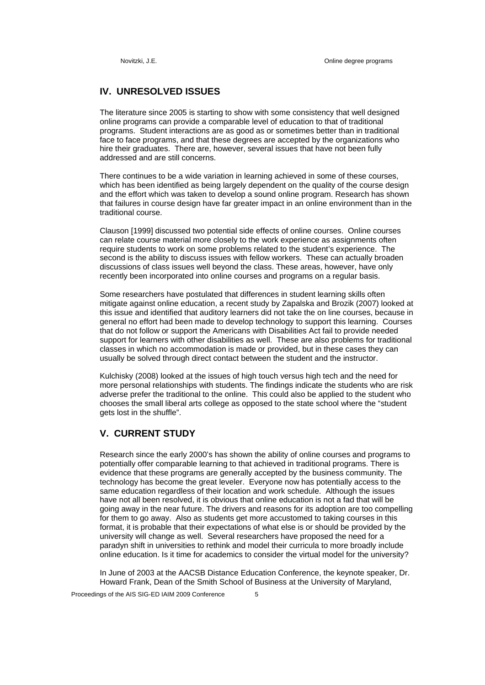#### **IV. UNRESOLVED ISSUES**

The literature since 2005 is starting to show with some consistency that well designed online programs can provide a comparable level of education to that of traditional programs. Student interactions are as good as or sometimes better than in traditional face to face programs, and that these degrees are accepted by the organizations who hire their graduates. There are, however, several issues that have not been fully addressed and are still concerns.

There continues to be a wide variation in learning achieved in some of these courses, which has been identified as being largely dependent on the quality of the course design and the effort which was taken to develop a sound online program. Research has shown that failures in course design have far greater impact in an online environment than in the traditional course.

Clauson [1999] discussed two potential side effects of online courses. Online courses can relate course material more closely to the work experience as assignments often require students to work on some problems related to the student's experience. The second is the ability to discuss issues with fellow workers. These can actually broaden discussions of class issues well beyond the class. These areas, however, have only recently been incorporated into online courses and programs on a regular basis.

Some researchers have postulated that differences in student learning skills often mitigate against online education, a recent study by Zapalska and Brozik (2007) looked at this issue and identified that auditory learners did not take the on line courses, because in general no effort had been made to develop technology to support this learning. Courses that do not follow or support the Americans with Disabilities Act fail to provide needed support for learners with other disabilities as well. These are also problems for traditional classes in which no accommodation is made or provided, but in these cases they can usually be solved through direct contact between the student and the instructor.

Kulchisky (2008) looked at the issues of high touch versus high tech and the need for more personal relationships with students. The findings indicate the students who are risk adverse prefer the traditional to the online. This could also be applied to the student who chooses the small liberal arts college as opposed to the state school where the "student gets lost in the shuffle".

### **V. CURRENT STUDY**

Research since the early 2000's has shown the ability of online courses and programs to potentially offer comparable learning to that achieved in traditional programs. There is evidence that these programs are generally accepted by the business community. The technology has become the great leveler. Everyone now has potentially access to the same education regardless of their location and work schedule. Although the issues have not all been resolved, it is obvious that online education is not a fad that will be going away in the near future. The drivers and reasons for its adoption are too compelling for them to go away. Also as students get more accustomed to taking courses in this format, it is probable that their expectations of what else is or should be provided by the university will change as well. Several researchers have proposed the need for a paradyn shift in universities to rethink and model their curricula to more broadly include online education. Is it time for academics to consider the virtual model for the university?

In June of 2003 at the AACSB Distance Education Conference, the keynote speaker, Dr. Howard Frank, Dean of the Smith School of Business at the University of Maryland,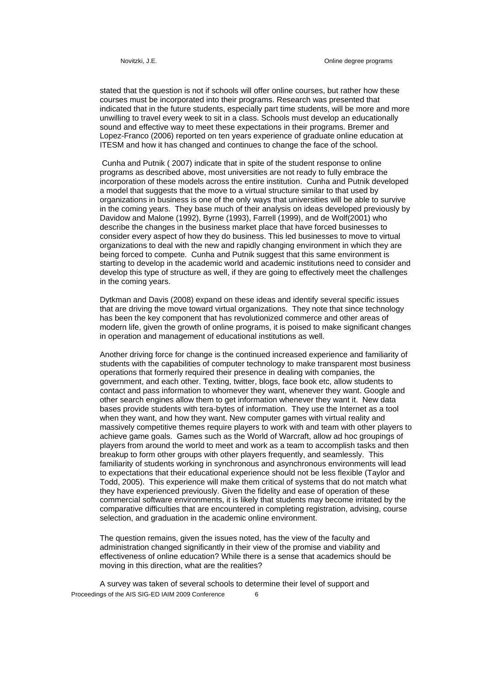stated that the question is not if schools will offer online courses, but rather how these courses must be incorporated into their programs. Research was presented that indicated that in the future students, especially part time students, will be more and more unwilling to travel every week to sit in a class. Schools must develop an educationally sound and effective way to meet these expectations in their programs. Bremer and Lopez-Franco (2006) reported on ten years experience of graduate online education at ITESM and how it has changed and continues to change the face of the school.

 Cunha and Putnik ( 2007) indicate that in spite of the student response to online programs as described above, most universities are not ready to fully embrace the incorporation of these models across the entire institution. Cunha and Putnik developed a model that suggests that the move to a virtual structure similar to that used by organizations in business is one of the only ways that universities will be able to survive in the coming years. They base much of their analysis on ideas developed previously by Davidow and Malone (1992), Byrne (1993), Farrell (1999), and de Wolf(2001) who describe the changes in the business market place that have forced businesses to consider every aspect of how they do business. This led businesses to move to virtual organizations to deal with the new and rapidly changing environment in which they are being forced to compete. Cunha and Putnik suggest that this same environment is starting to develop in the academic world and academic institutions need to consider and develop this type of structure as well, if they are going to effectively meet the challenges in the coming years.

Dytkman and Davis (2008) expand on these ideas and identify several specific issues that are driving the move toward virtual organizations. They note that since technology has been the key component that has revolutionized commerce and other areas of modern life, given the growth of online programs, it is poised to make significant changes in operation and management of educational institutions as well.

Another driving force for change is the continued increased experience and familiarity of students with the capabilities of computer technology to make transparent most business operations that formerly required their presence in dealing with companies, the government, and each other. Texting, twitter, blogs, face book etc, allow students to contact and pass information to whomever they want, whenever they want. Google and other search engines allow them to get information whenever they want it. New data bases provide students with tera-bytes of information. They use the Internet as a tool when they want, and how they want. New computer games with virtual reality and massively competitive themes require players to work with and team with other players to achieve game goals. Games such as the World of Warcraft, allow ad hoc groupings of players from around the world to meet and work as a team to accomplish tasks and then breakup to form other groups with other players frequently, and seamlessly. This familiarity of students working in synchronous and asynchronous environments will lead to expectations that their educational experience should not be less flexible (Taylor and Todd, 2005). This experience will make them critical of systems that do not match what they have experienced previously. Given the fidelity and ease of operation of these commercial software environments, it is likely that students may become irritated by the comparative difficulties that are encountered in completing registration, advising, course selection, and graduation in the academic online environment.

The question remains, given the issues noted, has the view of the faculty and administration changed significantly in their view of the promise and viability and effectiveness of online education? While there is a sense that academics should be moving in this direction, what are the realities?

Proceedings of the AIS SIG-ED IAIM 2009 Conference 6 A survey was taken of several schools to determine their level of support and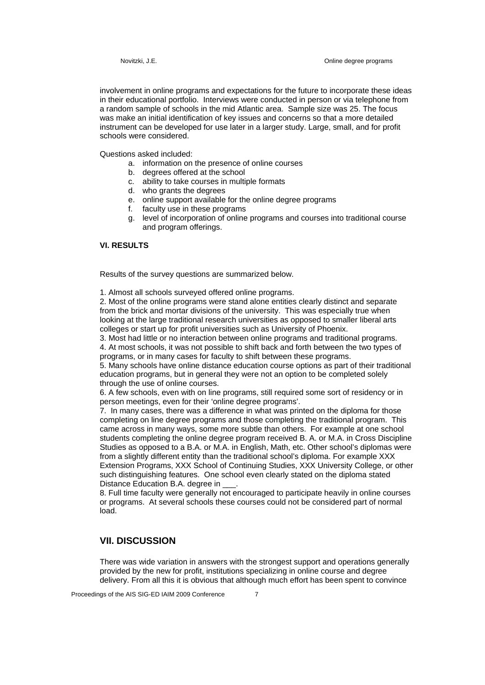involvement in online programs and expectations for the future to incorporate these ideas in their educational portfolio. Interviews were conducted in person or via telephone from a random sample of schools in the mid Atlantic area. Sample size was 25. The focus was make an initial identification of key issues and concerns so that a more detailed instrument can be developed for use later in a larger study. Large, small, and for profit schools were considered.

Questions asked included:

- a. information on the presence of online courses
- b. degrees offered at the school
- c. ability to take courses in multiple formats
- d. who grants the degrees
- e. online support available for the online degree programs
- f. faculty use in these programs
- g. level of incorporation of online programs and courses into traditional course and program offerings.

#### **VI. RESULTS**

Results of the survey questions are summarized below.

1. Almost all schools surveyed offered online programs.

2. Most of the online programs were stand alone entities clearly distinct and separate from the brick and mortar divisions of the university. This was especially true when looking at the large traditional research universities as opposed to smaller liberal arts colleges or start up for profit universities such as University of Phoenix.

3. Most had little or no interaction between online programs and traditional programs. 4. At most schools, it was not possible to shift back and forth between the two types of programs, or in many cases for faculty to shift between these programs.

5. Many schools have online distance education course options as part of their traditional education programs, but in general they were not an option to be completed solely through the use of online courses.

6. A few schools, even with on line programs, still required some sort of residency or in person meetings, even for their 'online degree programs'.

7. In many cases, there was a difference in what was printed on the diploma for those completing on line degree programs and those completing the traditional program. This came across in many ways, some more subtle than others. For example at one school students completing the online degree program received B. A. or M.A. in Cross Discipline Studies as opposed to a B.A. or M.A. in English, Math, etc. Other school's diplomas were from a slightly different entity than the traditional school's diploma. For example XXX Extension Programs, XXX School of Continuing Studies, XXX University College, or other such distinguishing features. One school even clearly stated on the diploma stated Distance Education B.A. degree in \_\_\_.

8. Full time faculty were generally not encouraged to participate heavily in online courses or programs. At several schools these courses could not be considered part of normal load.

#### **VII. DISCUSSION**

There was wide variation in answers with the strongest support and operations generally provided by the new for profit, institutions specializing in online course and degree delivery. From all this it is obvious that although much effort has been spent to convince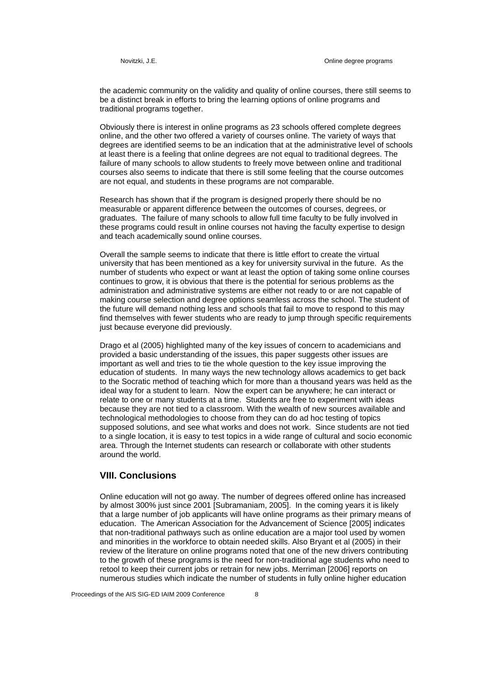the academic community on the validity and quality of online courses, there still seems to be a distinct break in efforts to bring the learning options of online programs and traditional programs together.

Obviously there is interest in online programs as 23 schools offered complete degrees online, and the other two offered a variety of courses online. The variety of ways that degrees are identified seems to be an indication that at the administrative level of schools at least there is a feeling that online degrees are not equal to traditional degrees. The failure of many schools to allow students to freely move between online and traditional courses also seems to indicate that there is still some feeling that the course outcomes are not equal, and students in these programs are not comparable.

Research has shown that if the program is designed properly there should be no measurable or apparent difference between the outcomes of courses, degrees, or graduates. The failure of many schools to allow full time faculty to be fully involved in these programs could result in online courses not having the faculty expertise to design and teach academically sound online courses.

Overall the sample seems to indicate that there is little effort to create the virtual university that has been mentioned as a key for university survival in the future. As the number of students who expect or want at least the option of taking some online courses continues to grow, it is obvious that there is the potential for serious problems as the administration and administrative systems are either not ready to or are not capable of making course selection and degree options seamless across the school. The student of the future will demand nothing less and schools that fail to move to respond to this may find themselves with fewer students who are ready to jump through specific requirements just because everyone did previously.

Drago et al (2005) highlighted many of the key issues of concern to academicians and provided a basic understanding of the issues, this paper suggests other issues are important as well and tries to tie the whole question to the key issue improving the education of students. In many ways the new technology allows academics to get back to the Socratic method of teaching which for more than a thousand years was held as the ideal way for a student to learn. Now the expert can be anywhere; he can interact or relate to one or many students at a time. Students are free to experiment with ideas because they are not tied to a classroom. With the wealth of new sources available and technological methodologies to choose from they can do ad hoc testing of topics supposed solutions, and see what works and does not work. Since students are not tied to a single location, it is easy to test topics in a wide range of cultural and socio economic area. Through the Internet students can research or collaborate with other students around the world.

#### **VIII. Conclusions**

Online education will not go away. The number of degrees offered online has increased by almost 300% just since 2001 [Subramaniam, 2005]. In the coming years it is likely that a large number of job applicants will have online programs as their primary means of education. The American Association for the Advancement of Science [2005] indicates that non-traditional pathways such as online education are a major tool used by women and minorities in the workforce to obtain needed skills. Also Bryant et al (2005) in their review of the literature on online programs noted that one of the new drivers contributing to the growth of these programs is the need for non-traditional age students who need to retool to keep their current jobs or retrain for new jobs. Merriman [2006] reports on numerous studies which indicate the number of students in fully online higher education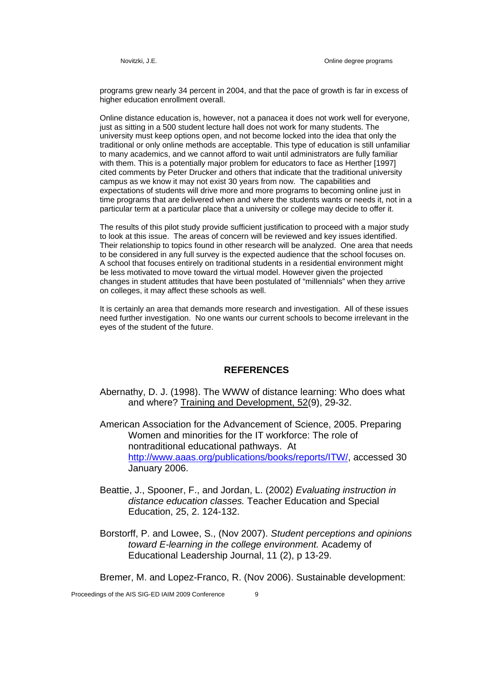programs grew nearly 34 percent in 2004, and that the pace of growth is far in excess of higher education enrollment overall.

Online distance education is, however, not a panacea it does not work well for everyone, just as sitting in a 500 student lecture hall does not work for many students. The university must keep options open, and not become locked into the idea that only the traditional or only online methods are acceptable. This type of education is still unfamiliar to many academics, and we cannot afford to wait until administrators are fully familiar with them. This is a potentially major problem for educators to face as Herther [1997] cited comments by Peter Drucker and others that indicate that the traditional university campus as we know it may not exist 30 years from now. The capabilities and expectations of students will drive more and more programs to becoming online just in time programs that are delivered when and where the students wants or needs it, not in a particular term at a particular place that a university or college may decide to offer it.

The results of this pilot study provide sufficient justification to proceed with a major study to look at this issue. The areas of concern will be reviewed and key issues identified. Their relationship to topics found in other research will be analyzed. One area that needs to be considered in any full survey is the expected audience that the school focuses on. A school that focuses entirely on traditional students in a residential environment might be less motivated to move toward the virtual model. However given the projected changes in student attitudes that have been postulated of "millennials" when they arrive on colleges, it may affect these schools as well.

It is certainly an area that demands more research and investigation. All of these issues need further investigation. No one wants our current schools to become irrelevant in the eyes of the student of the future.

#### **REFERENCES**

Abernathy, D. J. (1998). The WWW of distance learning: Who does what and where? Training and Development, 52(9), 29-32.

American Association for the Advancement of Science, 2005. Preparing Women and minorities for the IT workforce: The role of nontraditional educational pathways. At http://www.aaas.org/publications/books/reports/ITW/, accessed 30 January 2006.

Beattie, J., Spooner, F., and Jordan, L. (2002) *Evaluating instruction in distance education classes.* Teacher Education and Special Education, 25, 2. 124-132.

Borstorff, P. and Lowee, S., (Nov 2007). *Student perceptions and opinions toward E-learning in the college environment.* Academy of Educational Leadership Journal, 11 (2), p 13-29.

Bremer, M. and Lopez-Franco, R. (Nov 2006). Sustainable development: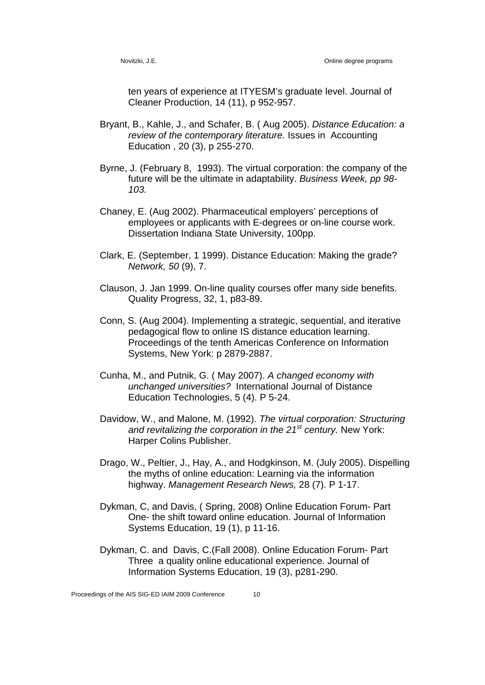ten years of experience at ITYESM's graduate level. Journal of Cleaner Production, 14 (11), p 952-957.

- Bryant, B., Kahle, J., and Schafer, B. ( Aug 2005). *Distance Education: a review of the contemporary literature.* Issues in Accounting Education , 20 (3), p 255-270.
- Byrne, J. (February 8, 1993). The virtual corporation: the company of the future will be the ultimate in adaptability. *Business Week, pp 98- 103.*
- Chaney, E. (Aug 2002). Pharmaceutical employers' perceptions of employees or applicants with E-degrees or on-line course work. Dissertation Indiana State University, 100pp.
- Clark, E. (September, 1 1999). Distance Education: Making the grade? *Network, 50* (9), 7.
- Clauson, J. Jan 1999. On-line quality courses offer many side benefits. Quality Progress, 32, 1, p83-89.
- Conn, S. (Aug 2004). Implementing a strategic, sequential, and iterative pedagogical flow to online IS distance education learning. Proceedings of the tenth Americas Conference on Information Systems, New York: p 2879-2887.
- Cunha, M., and Putnik, G. ( May 2007). *A changed economy with unchanged universities?* International Journal of Distance Education Technologies, 5 (4). P 5-24.
- Davidow, W., and Malone, M. (1992). *The virtual corporation: Structuring and revitalizing the corporation in the 21st century.* New York: Harper Colins Publisher.
- Drago, W., Peltier, J., Hay, A., and Hodgkinson, M. (July 2005). Dispelling the myths of online education: Learning via the information highway. *Management Research News,* 28 (7). P 1-17.
- Dykman, C, and Davis, ( Spring, 2008) Online Education Forum- Part One- the shift toward online education. Journal of Information Systems Education, 19 (1), p 11-16.
- Dykman, C. and Davis, C.(Fall 2008). Online Education Forum- Part Three a quality online educational experience. Journal of Information Systems Education, 19 (3), p281-290.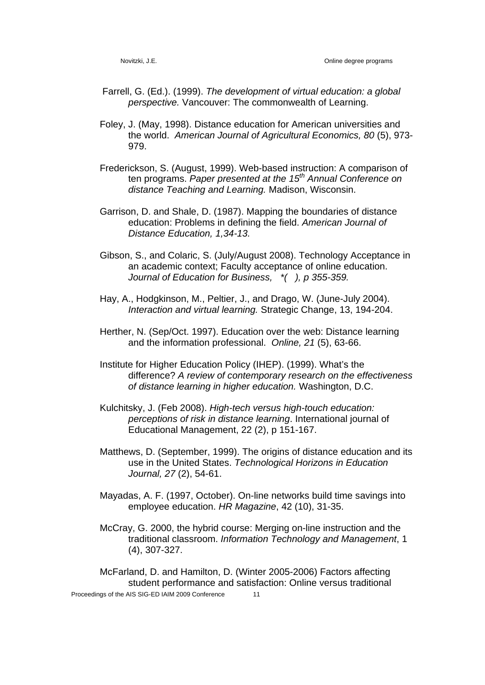- Farrell, G. (Ed.). (1999). *The development of virtual education: a global perspective.* Vancouver: The commonwealth of Learning.
- Foley, J. (May, 1998). Distance education for American universities and the world. *American Journal of Agricultural Economics, 80* (5), 973- 979.
- Frederickson, S. (August, 1999). Web-based instruction: A comparison of ten programs. *Paper presented at the 15th Annual Conference on distance Teaching and Learning.* Madison, Wisconsin.
- Garrison, D. and Shale, D. (1987). Mapping the boundaries of distance education: Problems in defining the field. *American Journal of Distance Education, 1,34-13.*
- Gibson, S., and Colaric, S. (July/August 2008). Technology Acceptance in an academic context; Faculty acceptance of online education. *Journal of Education for Business, \*( ), p 355-359.*
- Hay, A., Hodgkinson, M., Peltier, J., and Drago, W. (June-July 2004). *Interaction and virtual learning.* Strategic Change, 13, 194-204.
- Herther, N. (Sep/Oct. 1997). Education over the web: Distance learning and the information professional. *Online, 21* (5), 63-66.
- Institute for Higher Education Policy (IHEP). (1999). What's the difference? *A review of contemporary research on the effectiveness of distance learning in higher education.* Washington, D.C.
- Kulchitsky, J. (Feb 2008). *High-tech versus high-touch education: perceptions of risk in distance learning*. International journal of Educational Management, 22 (2), p 151-167.
- Matthews, D. (September, 1999). The origins of distance education and its use in the United States. *Technological Horizons in Education Journal, 27* (2), 54-61.
- Mayadas, A. F. (1997, October). On-line networks build time savings into employee education. *HR Magazine*, 42 (10), 31-35.
- McCray, G. 2000, the hybrid course: Merging on-line instruction and the traditional classroom. *Information Technology and Management*, 1 (4), 307-327.

Proceedings of the AIS SIG-ED IAIM 2009 Conference 11 McFarland, D. and Hamilton, D. (Winter 2005-2006) Factors affecting student performance and satisfaction: Online versus traditional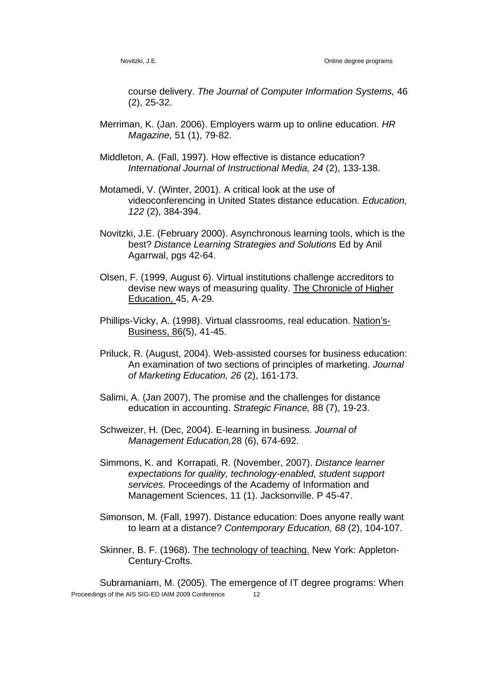course delivery. *The Journal of Computer Information Systems,* 46 (2), 25-32.

- Merriman, K. (Jan. 2006). Employers warm up to online education. *HR Magazine,* 51 (1), 79-82.
- Middleton, A. (Fall, 1997). How effective is distance education? *International Journal of Instructional Media, 24* (2), 133-138.
- Motamedi, V. (Winter, 2001). A critical look at the use of videoconferencing in United States distance education. *Education, 122* (2), 384-394.
- Novitzki, J.E. (February 2000). Asynchronous learning tools, which is the best? *Distance Learning Strategies and Solutions* Ed by Anil Agarrwal, pgs 42-64.
- Olsen, F. (1999, August 6). Virtual institutions challenge accreditors to devise new ways of measuring quality. The Chronicle of Higher Education, 45, A-29.
- Phillips-Vicky, A. (1998). Virtual classrooms, real education. Nation's-Business, 86(5), 41-45.
- Priluck, R. (August, 2004). Web-assisted courses for business education: An examination of two sections of principles of marketing. *Journal of Marketing Education, 26* (2), 161-173.
- Salimi, A. (Jan 2007), The promise and the challenges for distance education in accounting. *Strategic Finance,* 88 (7), 19-23.
- Schweizer, H. (Dec, 2004). E-learning in business. *Journal of Management Education,*28 (6), 674-692.
- Simmons, K. and Korrapati, R. (November, 2007). *Distance learner expectations for quality, technology-enabled, student support services.* Proceedings of the Academy of Information and Management Sciences, 11 (1). Jacksonville. P 45-47.
- Simonson, M. (Fall, 1997). Distance education: Does anyone really want to learn at a distance? *Contemporary Education, 68* (2), 104-107.
- Skinner, B. F. (1968). The technology of teaching. New York: Appleton-Century-Crofts.

Proceedings of the AIS SIG-ED IAIM 2009 Conference 12 Subramaniam, M. (2005). The emergence of IT degree programs: When